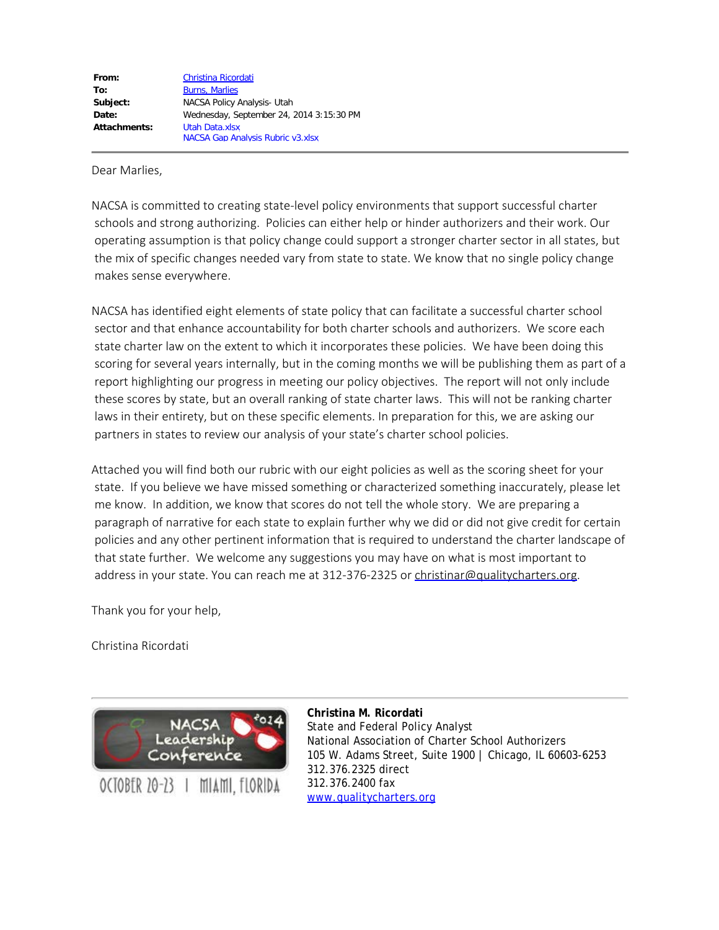| From:        | <b>Christina Ricordati</b>               |  |  |  |  |
|--------------|------------------------------------------|--|--|--|--|
| To:          | <b>Burns, Marlies</b>                    |  |  |  |  |
| Subject:     | NACSA Policy Analysis- Utah              |  |  |  |  |
| Date:        | Wednesday, September 24, 2014 3:15:30 PM |  |  |  |  |
| Attachments: | Utah Data.xlsx                           |  |  |  |  |
|              | <b>NACSA Gap Analysis Rubric v3.xlsx</b> |  |  |  |  |

Dear Marlies,

NACSA is committed to creating state-level policy environments that support successful charter schools and strong authorizing. Policies can either help or hinder authorizers and their work. Our operating assumption is that policy change could support a stronger charter sector in all states, but the mix of specific changes needed vary from state to state. We know that no single policy change makes sense everywhere.

NACSA has identified eight elements of state policy that can facilitate a successful charter school sector and that enhance accountability for both charter schools and authorizers. We score each state charter law on the extent to which it incorporates these policies. We have been doing this scoring for several years internally, but in the coming months we will be publishing them as part of a report highlighting our progress in meeting our policy objectives. The report will not only include these scores by state, but an overall ranking of state charter laws. This will not be ranking charter laws in their entirety, but on these specific elements. In preparation for this, we are asking our partners in states to review our analysis of your state's charter school policies.

Attached you will find both our rubric with our eight policies as well as the scoring sheet for your state. If you believe we have missed something or characterized something inaccurately, please let me know. In addition, we know that scores do not tell the whole story. We are preparing a paragraph of narrative for each state to explain further why we did or did not give credit for certain policies and any other pertinent information that is required to understand the charter landscape of that state further. We welcome any suggestions you may have on what is most important to address in your state. You can reach me at 312-376-2325 or [christinar@qualitycharters.org](mailto:christinar@qualitycharters.org).

Thank you for your help,

Christina Ricordati



OCTOBER 20-23 | MIAMI, FLORIDA

**Christina M. Ricordati** State and Federal Policy Analyst National Association of Charter School Authorizers 105 W. Adams Street, Suite 1900 | Chicago, IL 60603-6253 312.376.2325 direct 312.376.2400 fax [www.qualitycharters.org](http://www.qualitycharters.org/)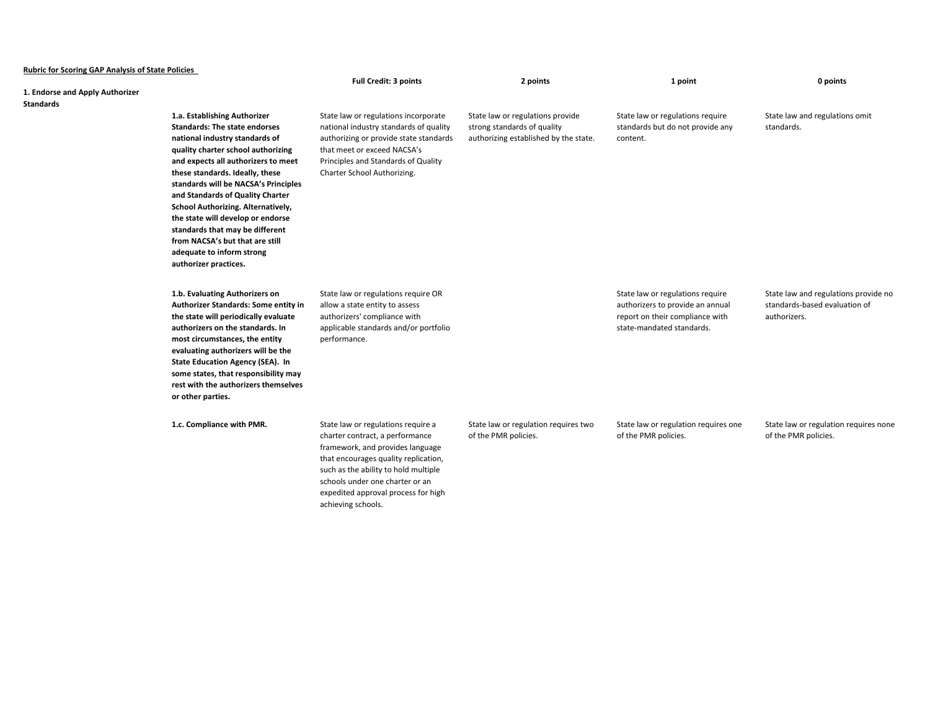| <b>Rubric for Scoring GAP Analysis of State Policies</b> |                                                                                                                                                                                                                                                                                                                                                                                                                                                                                                           |                                                                                                                                                                                                                                                                                           |                                                                                                          |                                                                                                                                      |                                                                                       |  |
|----------------------------------------------------------|-----------------------------------------------------------------------------------------------------------------------------------------------------------------------------------------------------------------------------------------------------------------------------------------------------------------------------------------------------------------------------------------------------------------------------------------------------------------------------------------------------------|-------------------------------------------------------------------------------------------------------------------------------------------------------------------------------------------------------------------------------------------------------------------------------------------|----------------------------------------------------------------------------------------------------------|--------------------------------------------------------------------------------------------------------------------------------------|---------------------------------------------------------------------------------------|--|
|                                                          |                                                                                                                                                                                                                                                                                                                                                                                                                                                                                                           | <b>Full Credit: 3 points</b>                                                                                                                                                                                                                                                              | 2 points                                                                                                 | 1 point                                                                                                                              | 0 points                                                                              |  |
| 1. Endorse and Apply Authorizer<br>Standards             |                                                                                                                                                                                                                                                                                                                                                                                                                                                                                                           |                                                                                                                                                                                                                                                                                           |                                                                                                          |                                                                                                                                      |                                                                                       |  |
|                                                          | 1.a. Establishing Authorizer<br><b>Standards: The state endorses</b><br>national industry standards of<br>quality charter school authorizing<br>and expects all authorizers to meet<br>these standards. Ideally, these<br>standards will be NACSA's Principles<br>and Standards of Quality Charter<br>School Authorizing. Alternatively,<br>the state will develop or endorse<br>standards that may be different<br>from NACSA's but that are still<br>adequate to inform strong<br>authorizer practices. | State law or regulations incorporate<br>national industry standards of quality<br>authorizing or provide state standards<br>that meet or exceed NACSA's<br>Principles and Standards of Quality<br>Charter School Authorizing.                                                             | State law or regulations provide<br>strong standards of quality<br>authorizing established by the state. | State law or regulations require<br>standards but do not provide any<br>content.                                                     | State law and regulations omit<br>standards.                                          |  |
|                                                          | 1.b. Evaluating Authorizers on<br>Authorizer Standards: Some entity in<br>the state will periodically evaluate<br>authorizers on the standards. In<br>most circumstances, the entity<br>evaluating authorizers will be the<br><b>State Education Agency (SEA). In</b><br>some states, that responsibility may<br>rest with the authorizers themselves<br>or other parties.                                                                                                                                | State law or regulations require OR<br>allow a state entity to assess<br>authorizers' compliance with<br>applicable standards and/or portfolio<br>performance.                                                                                                                            |                                                                                                          | State law or regulations require<br>authorizers to provide an annual<br>report on their compliance with<br>state-mandated standards. | State law and regulations provide no<br>standards-based evaluation of<br>authorizers. |  |
|                                                          | 1.c. Compliance with PMR.                                                                                                                                                                                                                                                                                                                                                                                                                                                                                 | State law or regulations require a<br>charter contract, a performance<br>framework, and provides language<br>that encourages quality replication,<br>such as the ability to hold multiple<br>schools under one charter or an<br>expedited approval process for high<br>achieving schools. | State law or regulation requires two<br>of the PMR policies.                                             | State law or regulation requires one<br>of the PMR policies.                                                                         | State law or regulation requires none<br>of the PMR policies.                         |  |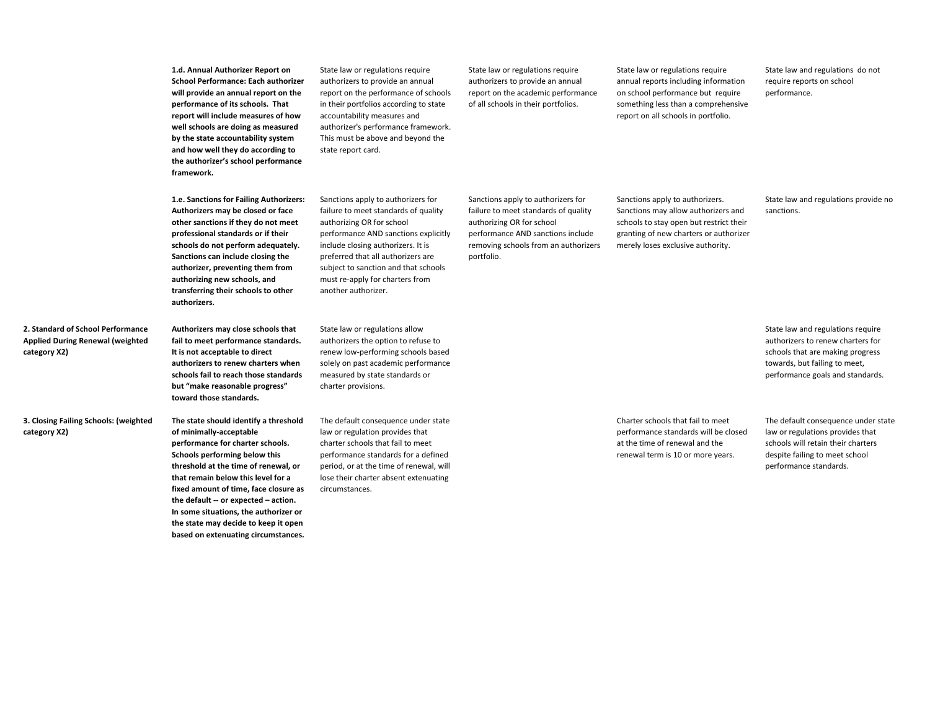**1.d. Annual Authorizer Report on School Performance: Each authorizer will provide an annual report on the performance of its schools. That report will include measures of how well schools are doing as measured by the state accountability system and how well they do according to the authorizer's school performance framework.**

**1.e. Sanctions for Failing Authorizers: Authorizers may be closed or face other sanctions if they do not meet professional standards or if their schools do not perform adequately. Sanctions can include closing the authorizer, preventing them from authorizing new schools, and transferring their schools to other authorizers.**

**Authorizers may close schools that fail to meet performance standards. It is not acceptable to direct authorizers to renew charters when schools fail to reach those standards but "make reasonable progress" toward those standards.**

**3. Closing Failing Schools: (weighted The state should identify a threshold of minimally-acceptable performance for charter schools. Schools performing below this threshold at the time of renewal, or that remain below this level for a fixed amount of time, face closure as the default -- or expected – action. In some situations, the authorizer or the state may decide to keep it open based on extenuating circumstances.**

**2. Standard of School Performance Applied During Renewal (weighted** 

**category X2)**

**category X2)**

charter provisions. The default consequence under state law or regulation provides that charter schools that fail to meet performance standards for a defined period, or at the time of renewal, will lose their charter absent extenuating

circumstances.

State law or regulations require authorizers to provide an annual report on the performance of schools in their portfolios according to state accountability measures and authorizer's performance framework. This must be above and beyond the

Sanctions apply to authorizers for failure to meet standards of quality authorizing OR for school

performance AND sanctions explicitly include closing authorizers. It is preferred that all authorizers are subject to sanction and that schools must re-apply for charters from

state report card.

another authorizer.

State law or regulations allow authorizers the option to refuse to renew low-performing schools based solely on past academic performance measured by state standards or

State law or regulations require authorizers to provide an annual report on the academic performance of all schools in their portfolios.

portfolio.

State law or regulations require annual reports including information on school performance but require something less than a comprehensive report on all schools in portfolio.

State law and regulations do not require reports on school performance.

Sanctions apply to authorizers for failure to meet standards of quality authorizing OR for school performance AND sanctions include removing schools from an authorizers

Sanctions apply to authorizers. Sanctions may allow authorizers and schools to stay open but restrict their granting of new charters or authorizer merely loses exclusive authority.

State law and regulations provide no sanctions.

State law and regulations require authorizers to renew charters for schools that are making progress towards, but failing to meet, performance goals and standards.

Charter schools that fail to meet performance standards will be closed at the time of renewal and the renewal term is 10 or more years.

The default consequence under state law or regulations provides that schools will retain their charters despite failing to meet school performance standards.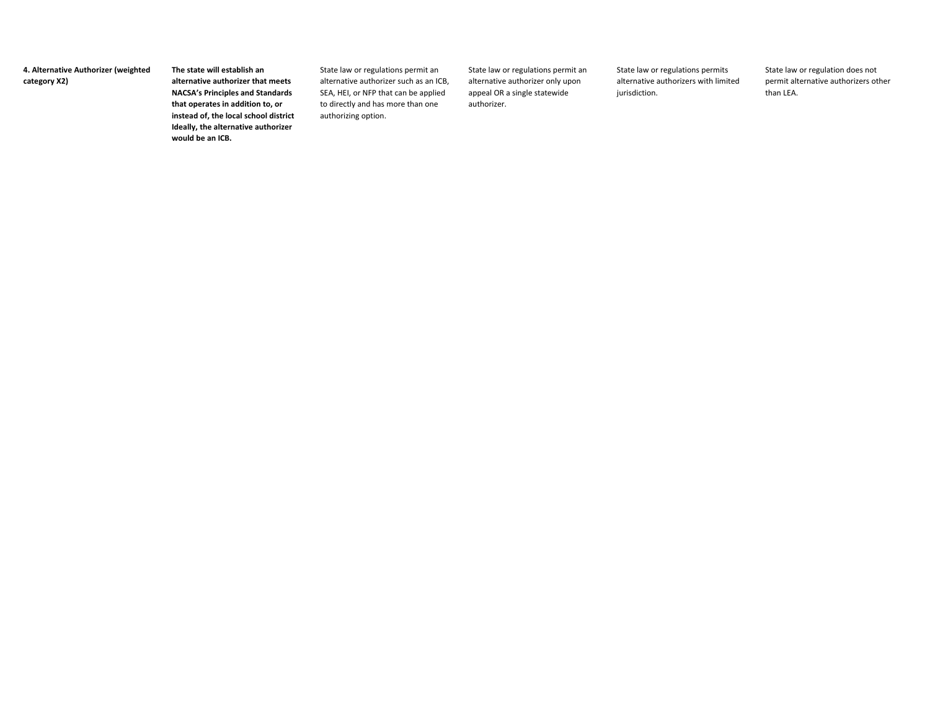**4. Alternative Authorizer (weighted category X2)**

**The state will establish an alternative authorizer that meets NACSA's Principles and Standards that operates in addition to, or instead of, the local school district Ideally, the alternative authorizer would be an ICB.**

State law or regulations permit an alternative authorizer such as an ICB, SEA, HEI, or NFP that can be applied to directly and has more than one authorizing option.

State law or regulations permit an alternative authorizer only upon appeal OR a single statewide authorizer.

State law or regulations permits alternative authorizers with limited jurisdiction.

State law or regulation does not permit alternative authorizers other than LEA.